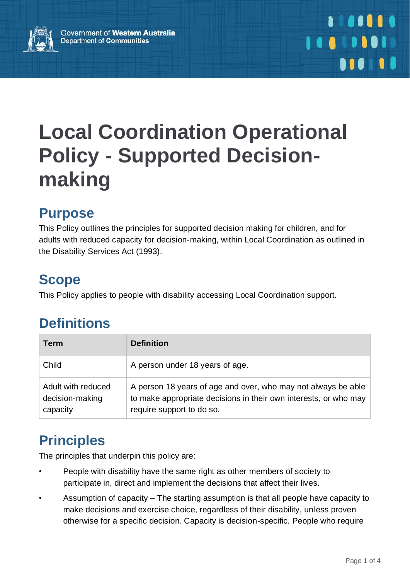

# **Local Coordination Operational Policy - Supported Decisionmaking**

# **Purpose**

This Policy outlines the principles for supported decision making for children, and for adults with reduced capacity for decision-making, within Local Coordination as outlined in the Disability Services Act (1993).

## **Scope**

This Policy applies to people with disability accessing Local Coordination support.

# **Definitions**

| <b>Term</b>                                       | <b>Definition</b>                                                                                                                                              |
|---------------------------------------------------|----------------------------------------------------------------------------------------------------------------------------------------------------------------|
| Child                                             | A person under 18 years of age.                                                                                                                                |
| Adult with reduced<br>decision-making<br>capacity | A person 18 years of age and over, who may not always be able<br>to make appropriate decisions in their own interests, or who may<br>require support to do so. |

# **Principles**

The principles that underpin this policy are:

- People with disability have the same right as other members of society to participate in, direct and implement the decisions that affect their lives.
- Assumption of capacity The starting assumption is that all people have capacity to make decisions and exercise choice, regardless of their disability, unless proven otherwise for a specific decision. Capacity is decision-specific. People who require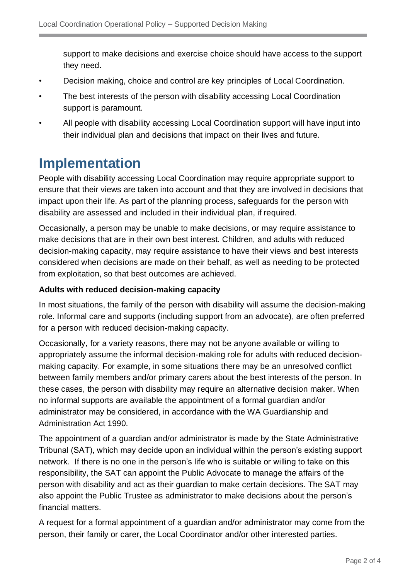support to make decisions and exercise choice should have access to the support they need.

- Decision making, choice and control are key principles of Local Coordination.
- The best interests of the person with disability accessing Local Coordination support is paramount.
- All people with disability accessing Local Coordination support will have input into their individual plan and decisions that impact on their lives and future.

### **Implementation**

People with disability accessing Local Coordination may require appropriate support to ensure that their views are taken into account and that they are involved in decisions that impact upon their life. As part of the planning process, safeguards for the person with disability are assessed and included in their individual plan, if required.

Occasionally, a person may be unable to make decisions, or may require assistance to make decisions that are in their own best interest. Children, and adults with reduced decision-making capacity, may require assistance to have their views and best interests considered when decisions are made on their behalf, as well as needing to be protected from exploitation, so that best outcomes are achieved.

#### **Adults with reduced decision-making capacity**

In most situations, the family of the person with disability will assume the decision-making role. Informal care and supports (including support from an advocate), are often preferred for a person with reduced decision-making capacity.

Occasionally, for a variety reasons, there may not be anyone available or willing to appropriately assume the informal decision-making role for adults with reduced decisionmaking capacity. For example, in some situations there may be an unresolved conflict between family members and/or primary carers about the best interests of the person. In these cases, the person with disability may require an alternative decision maker. When no informal supports are available the appointment of a formal guardian and/or administrator may be considered, in accordance with the WA Guardianship and Administration Act 1990.

The appointment of a guardian and/or administrator is made by the State Administrative Tribunal (SAT), which may decide upon an individual within the person's existing support network. If there is no one in the person's life who is suitable or willing to take on this responsibility, the SAT can appoint the Public Advocate to manage the affairs of the person with disability and act as their guardian to make certain decisions. The SAT may also appoint the Public Trustee as administrator to make decisions about the person's financial matters.

A request for a formal appointment of a guardian and/or administrator may come from the person, their family or carer, the Local Coordinator and/or other interested parties.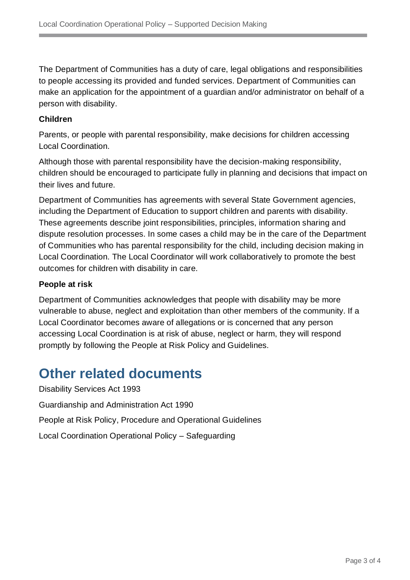The Department of Communities has a duty of care, legal obligations and responsibilities to people accessing its provided and funded services. Department of Communities can make an application for the appointment of a guardian and/or administrator on behalf of a person with disability.

#### **Children**

Parents, or people with parental responsibility, make decisions for children accessing Local Coordination.

Although those with parental responsibility have the decision-making responsibility, children should be encouraged to participate fully in planning and decisions that impact on their lives and future.

Department of Communities has agreements with several State Government agencies, including the Department of Education to support children and parents with disability. These agreements describe joint responsibilities, principles, information sharing and dispute resolution processes. In some cases a child may be in the care of the Department of Communities who has parental responsibility for the child, including decision making in Local Coordination. The Local Coordinator will work collaboratively to promote the best outcomes for children with disability in care.

#### **People at risk**

Department of Communities acknowledges that people with disability may be more vulnerable to abuse, neglect and exploitation than other members of the community. If a Local Coordinator becomes aware of allegations or is concerned that any person accessing Local Coordination is at risk of abuse, neglect or harm, they will respond promptly by following the People at Risk Policy and Guidelines.

### **Other related documents**

Disability Services Act 1993 Guardianship and Administration Act 1990 People at Risk Policy, Procedure and Operational Guidelines Local Coordination Operational Policy – Safeguarding